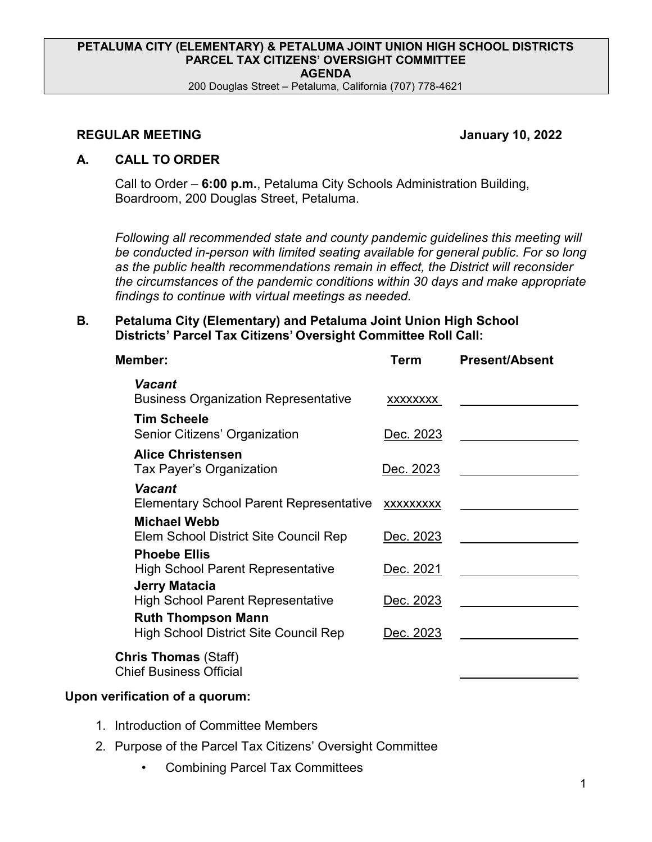#### **PETALUMA CITY (ELEMENTARY) & PETALUMA JOINT UNION HIGH SCHOOL DISTRICTS PARCEL TAX CITIZENS' OVERSIGHT COMMITTEE AGENDA**

200 Douglas Street – Petaluma, California (707) 778-4621

### **REGULAR MEETING January 10, 2022**

## **A. CALL TO ORDER**

Call to Order – **6:00 p.m.**, Petaluma City Schools Administration Building, Boardroom, 200 Douglas Street, Petaluma.

*Following all recommended state and county pandemic guidelines this meeting will*  be conducted in-person with limited seating available for general public. For so long *as the public health recommendations remain in effect, the District will reconsider the circumstances of the pandemic conditions within 30 days and make appropriate findings to continue with virtual meetings as needed.*

## **B. Petaluma City (Elementary) and Petaluma Joint Union High School Districts' Parcel Tax Citizens' Oversight Committee Roll Call:**

| Member:                                                                   | Term             | <b>Present/Absent</b> |
|---------------------------------------------------------------------------|------------------|-----------------------|
| Vacant<br><b>Business Organization Representative</b>                     | XXXXXXXX         |                       |
| <b>Tim Scheele</b><br>Senior Citizens' Organization                       | Dec. 2023        |                       |
| <b>Alice Christensen</b><br>Tax Payer's Organization                      | <u>Dec. 2023</u> |                       |
| <b>Vacant</b><br><b>Elementary School Parent Representative</b>           | <b>XXXXXXXXX</b> |                       |
| <b>Michael Webb</b><br>Elem School District Site Council Rep              | Dec. 2023        |                       |
| <b>Phoebe Ellis</b><br><b>High School Parent Representative</b>           | Dec. 2021        |                       |
| Jerry Matacia<br><b>High School Parent Representative</b>                 | Dec. 2023        |                       |
| <b>Ruth Thompson Mann</b><br><b>High School District Site Council Rep</b> | Dec. 2023        |                       |
| <b>Chris Thomas (Staff)</b><br><b>Chief Business Official</b>             |                  |                       |

# **Upon verification of a quorum:**

- 1. Introduction of Committee Members
- 2. Purpose of the Parcel Tax Citizens' Oversight Committee
	- Combining Parcel Tax Committees